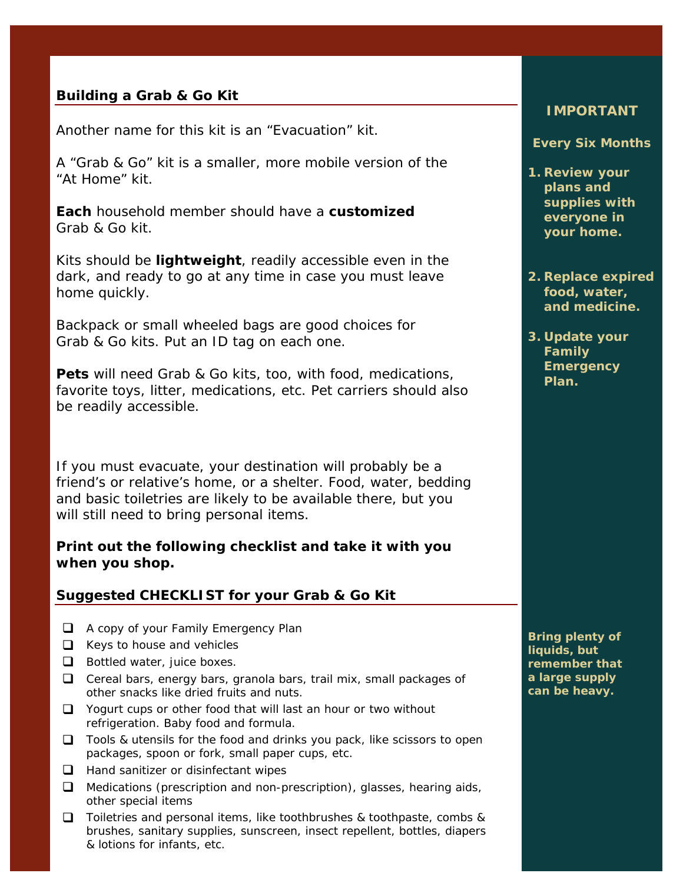## **Building a Grab & Go Kit**

Another name for this kit is an "Evacuation" kit.

A "Grab & Go" kit is a smaller, more mobile version of the "At Home" kit.

**Each** household member should have a **customized** Grab & Go kit.

Kits should be **lightweight**, readily accessible even in the dark, and ready to go at any time in case you must leave home quickly.

Backpack or small wheeled bags are good choices for Grab & Go kits. Put an ID tag on each one.

**Pets** will need Grab & Go kits, too, with food, medications, favorite toys, litter, medications, etc. Pet carriers should also be readily accessible.

If you must evacuate, your destination will probably be a friend's or relative's home, or a shelter. Food, water, bedding and basic toiletries are likely to be available there, but you will still need to bring personal items.

### **Print out the following checklist and take it with you when you shop.**

#### **Suggested CHECKLIST for your Grab & Go Kit**

- A copy of your Family Emergency Plan
- $\Box$  Keys to house and vehicles
- $\Box$  Bottled water, juice boxes.
- $\Box$  Cereal bars, energy bars, granola bars, trail mix, small packages of other snacks like dried fruits and nuts.
- $\Box$  Yogurt cups or other food that will last an hour or two without refrigeration. Baby food and formula.
- $\Box$  Tools & utensils for the food and drinks you pack, like scissors to open packages, spoon or fork, small paper cups, etc.
- $\Box$  Hand sanitizer or disinfectant wipes
- □ Medications (prescription and non-prescription), glasses, hearing aids, other special items
- $\Box$  Toiletries and personal items, like toothbrushes & toothpaste, combs & brushes, sanitary supplies, sunscreen, insect repellent, bottles, diapers & lotions for infants, etc.

#### **IMPORTANT**

#### **Every Six Months**

- **1. Review your plans and supplies with everyone in your home.**
- **2. Replace expired food, water, and medicine.**
- **3. Update your Family Emergency Plan.**

**Bring plenty of liquids, but remember that a large supply can be heavy.**